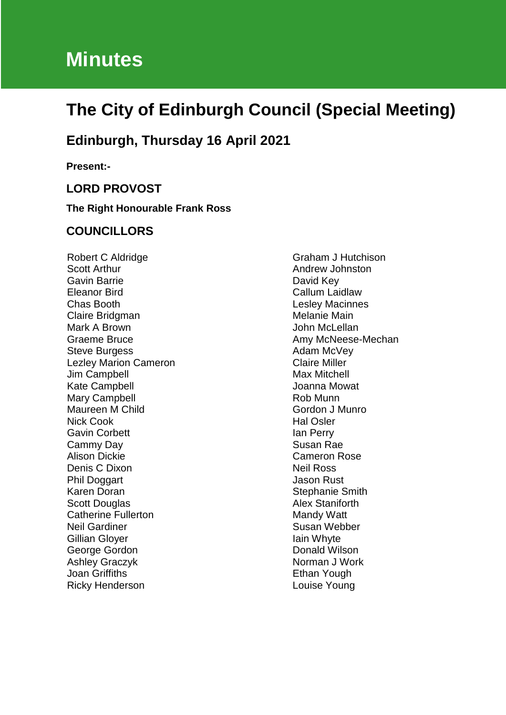# **Minutes**

## **The City of Edinburgh Council (Special Meeting)**

## **Edinburgh, Thursday 16 April 2021**

**Present:-**

#### **LORD PROVOST**

**The Right Honourable Frank Ross**

#### **COUNCILLORS**

Robert C Aldridge Scott Arthur Gavin Barrie Eleanor Bird Chas Booth Claire Bridgman Mark A Brown Graeme Bruce Steve Burgess Lezley Marion Cameron Jim Campbell Kate Campbell Mary Campbell Maureen M Child Nick Cook Gavin Corbett Cammy Day Alison Dickie Denis C Dixon Phil Doggart Karen Doran Scott Douglas Catherine Fullerton Neil Gardiner Gillian Gloyer George Gordon Ashley Graczyk Joan Griffiths Ricky Henderson

Graham J Hutchison Andrew Johnston David Key Callum Laidlaw Lesley Macinnes Melanie Main John McLellan Amy McNeese-Mechan Adam McVey Claire Miller Max Mitchell Joanna Mowat Rob Munn Gordon J Munro Hal Osler Ian Perry Susan Rae Cameron Rose Neil Ross Jason Rust Stephanie Smith Alex Staniforth Mandy Watt Susan Webber Iain Whyte Donald Wilson Norman J Work Ethan Yough Louise Young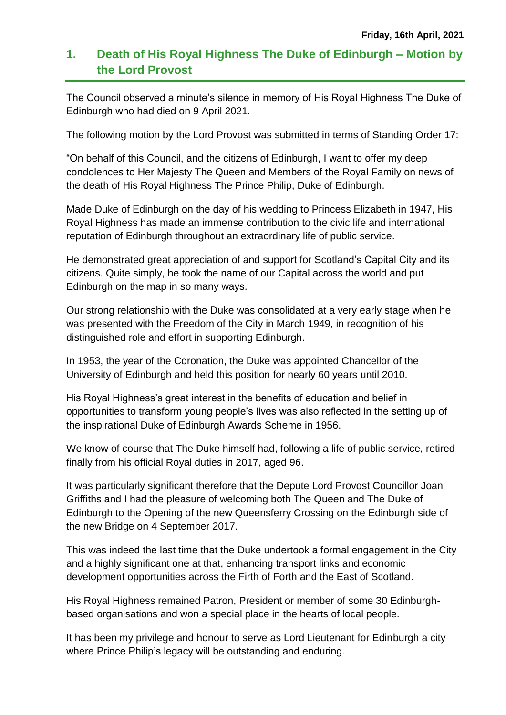### **1. Death of His Royal Highness The Duke of Edinburgh – Motion by the Lord Provost**

The Council observed a minute's silence in memory of His Royal Highness The Duke of Edinburgh who had died on 9 April 2021.

The following motion by the Lord Provost was submitted in terms of Standing Order 17:

"On behalf of this Council, and the citizens of Edinburgh, I want to offer my deep condolences to Her Majesty The Queen and Members of the Royal Family on news of the death of His Royal Highness The Prince Philip, Duke of Edinburgh.

Made Duke of Edinburgh on the day of his wedding to Princess Elizabeth in 1947, His Royal Highness has made an immense contribution to the civic life and international reputation of Edinburgh throughout an extraordinary life of public service.

He demonstrated great appreciation of and support for Scotland's Capital City and its citizens. Quite simply, he took the name of our Capital across the world and put Edinburgh on the map in so many ways.

Our strong relationship with the Duke was consolidated at a very early stage when he was presented with the Freedom of the City in March 1949, in recognition of his distinguished role and effort in supporting Edinburgh.

In 1953, the year of the Coronation, the Duke was appointed Chancellor of the University of Edinburgh and held this position for nearly 60 years until 2010.

His Royal Highness's great interest in the benefits of education and belief in opportunities to transform young people's lives was also reflected in the setting up of the inspirational Duke of Edinburgh Awards Scheme in 1956.

We know of course that The Duke himself had, following a life of public service, retired finally from his official Royal duties in 2017, aged 96.

It was particularly significant therefore that the Depute Lord Provost Councillor Joan Griffiths and I had the pleasure of welcoming both The Queen and The Duke of Edinburgh to the Opening of the new Queensferry Crossing on the Edinburgh side of the new Bridge on 4 September 2017.

This was indeed the last time that the Duke undertook a formal engagement in the City and a highly significant one at that, enhancing transport links and economic development opportunities across the Firth of Forth and the East of Scotland.

His Royal Highness remained Patron, President or member of some 30 Edinburghbased organisations and won a special place in the hearts of local people.

It has been my privilege and honour to serve as Lord Lieutenant for Edinburgh a city where Prince Philip's legacy will be outstanding and enduring.